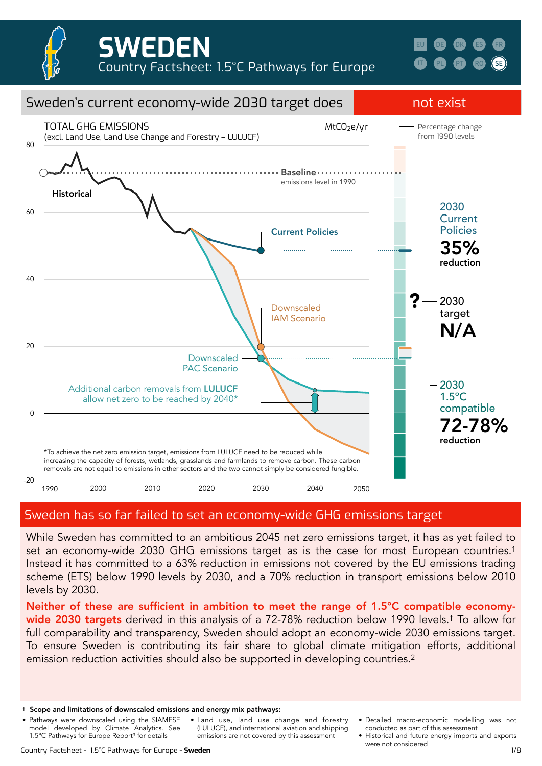





### Sweden has so far failed to set an economy-wide GHG emissions target

While Sweden has committed to an ambitious 2045 net zero emissions target, it has as yet failed to set an economy-wide 2030 GHG emissions target as is the case for most European countries.<sup>1</sup> Instead it has committed to a 63% reduction in emissions not covered by the EU emissions trading scheme (ETS) below 1990 levels by 2030, and a 70% reduction in transport emissions below 2010 levels by 2030.

Neither of these are sufficient in ambition to meet the range of 1.5°C compatible economywide 2030 targets derived in this analysis of a 72-78% reduction below 1990 levels.<sup>†</sup> To allow for full comparability and transparency, Sweden should adopt an economy-wide 2030 emissions target. To ensure Sweden is contributing its fair share to global climate mitigation efforts, additional emission reduction activities should also be supported in developing countries.<sup>2</sup>

- Pathways were downscaled using the SIAMESE model developed by Climate Analytics. See 1.5°C Pathways for Europe Report3 for details • Land use, land use change and forestry (LULUCF), and international aviation and shipping emissions are not covered by this assessment
- Detailed macro-economic modelling was not conducted as part of this assessment
- Historical and future energy imports and exports were not considered

<sup>†</sup> Scope and limitations of downscaled emissions and energy mix pathways: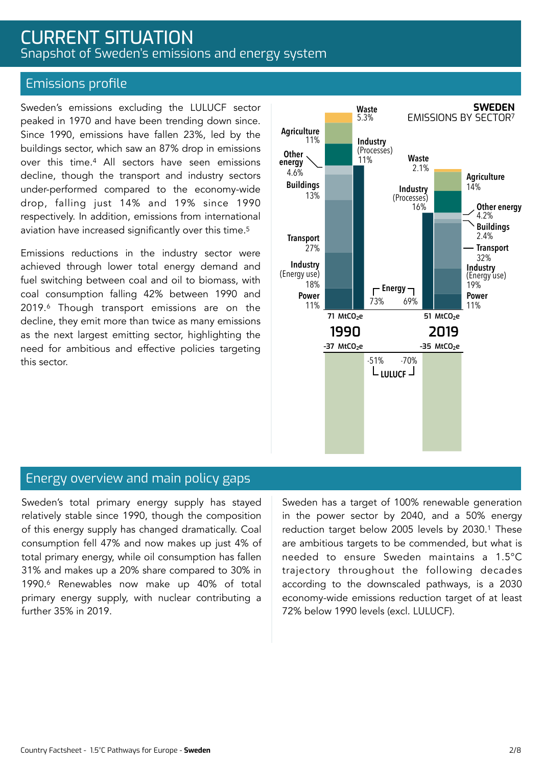### CURRENT SITUATION Snapshot of Sweden's emissions and energy system

### Emissions profile

Sweden's emissions excluding the LULUCF sector peaked in 1970 and have been trending down since. Since 1990, emissions have fallen 23%, led by the buildings sector, which saw an 87% drop in emissions over this time.4 All sectors have seen emissions decline, though the transport and industry sectors under-performed compared to the economy-wide drop, falling just 14% and 19% since 1990 respectively. In addition, emissions from international aviation have increased significantly over this time.5

Emissions reductions in the industry sector were achieved through lower total energy demand and fuel switching between coal and oil to biomass, with coal consumption falling 42% between 1990 and 2019.6 Though transport emissions are on the decline, they emit more than twice as many emissions as the next largest emitting sector, highlighting the need for ambitious and effective policies targeting this sector.



### Energy overview and main policy gaps

Sweden's total primary energy supply has stayed relatively stable since 1990, though the composition of this energy supply has changed dramatically. Coal consumption fell 47% and now makes up just 4% of total primary energy, while oil consumption has fallen 31% and makes up a 20% share compared to 30% in 1990.6 Renewables now make up 40% of total primary energy supply, with nuclear contributing a further 35% in 2019.

Sweden has a target of 100% renewable generation in the power sector by 2040, and a 50% energy reduction target below 2005 levels by 2030.1 These are ambitious targets to be commended, but what is needed to ensure Sweden maintains a 1.5°C trajectory throughout the following decades according to the downscaled pathways, is a 2030 economy-wide emissions reduction target of at least 72% below 1990 levels (excl. LULUCF).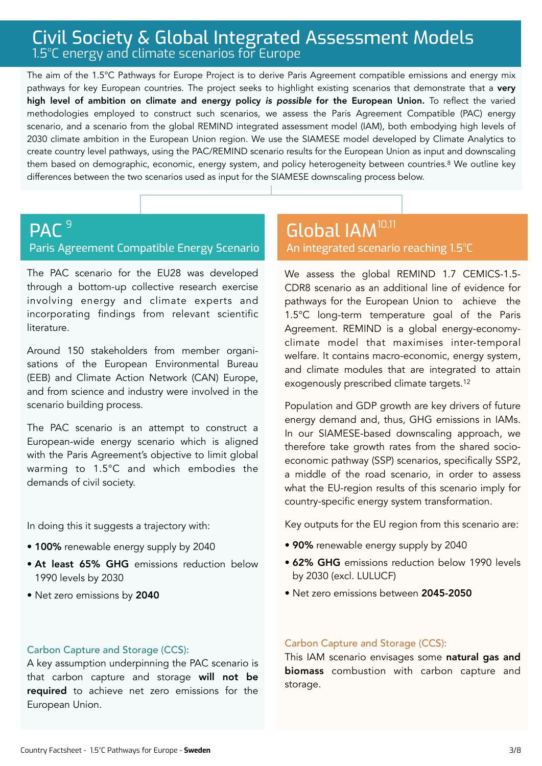### Civil Society & Global Integrated Assessment Models 1.5°C energy and climate scenarios for Europe

The aim of the 1.5°C Pathways for Europe Project is to derive Paris Agreement compatible emissions and energy mix pathways for key European countries. The project seeks to highlight existing scenarios that demonstrate that a very high level of ambition on climate and energy policy *is possible* for the European Union. To reflect the varied methodologies employed to construct such scenarios, we assess the Paris Agreement Compatible (PAC) energy scenario, and a scenario from the global REMIND integrated assessment model (IAM), both embodying high levels of 2030 climate ambition in the European Union region. We use the SIAMESE model developed by Climate Analytics to create country level pathways, using the PAC/REMIND scenario results for the European Union as input and downscaling them based on demographic, economic, energy system, and policy heterogeneity between countries.8 We outline key differences between the two scenarios used as input for the SIAMESE downscaling process below.

#### **PAC**<sup>9</sup> Paris Agreement Compatible Energy Scenario Global IAM 9 10,11

The PAC scenario for the EU28 was developed through a bottom-up collective research exercise involving energy and climate experts and incorporating findings from relevant scientific literature.

Around 150 stakeholders from member organisations of the European Environmental Bureau (EEB) and Climate Action Network (CAN) Europe, and from science and industry were involved in the scenario building process.

The PAC scenario is an attempt to construct a European-wide energy scenario which is aligned with the Paris Agreement's objective to limit global warming to 1.5°C and which embodies the demands of civil society.

In doing this it suggests a trajectory with:

- 100% renewable energy supply by 2040
- At least 65% GHG emissions reduction below 1990 levels by 2030
- Net zero emissions by 2040

# An integrated scenario reaching 1.5°C

We assess the global REMIND 1.7 CEMICS-1.5- CDR8 scenario as an additional line of evidence for pathways for the European Union to achieve the 1.5°C long-term temperature goal of the Paris Agreement. REMIND is a global energy-economyclimate model that maximises inter-temporal welfare. It contains macro-economic, energy system, and climate modules that are integrated to attain exogenously prescribed climate targets.12

Population and GDP growth are key drivers of future energy demand and, thus, GHG emissions in IAMs. In our SIAMESE-based downscaling approach, we therefore take growth rates from the shared socioeconomic pathway (SSP) scenarios, specifically SSP2, a middle of the road scenario, in order to assess what the EU-region results of this scenario imply for country-specific energy system transformation.

Key outputs for the EU region from this scenario are:

- 90% renewable energy supply by 2040
- 62% GHG emissions reduction below 1990 levels by 2030 (excl. LULUCF)
- Net zero emissions between 2045-2050

#### Carbon Capture and Storage (CCS):

A key assumption underpinning the PAC scenario is that carbon capture and storage will not be required to achieve net zero emissions for the European Union.

#### Carbon Capture and Storage (CCS):

This IAM scenario envisages some natural gas and biomass combustion with carbon capture and storage.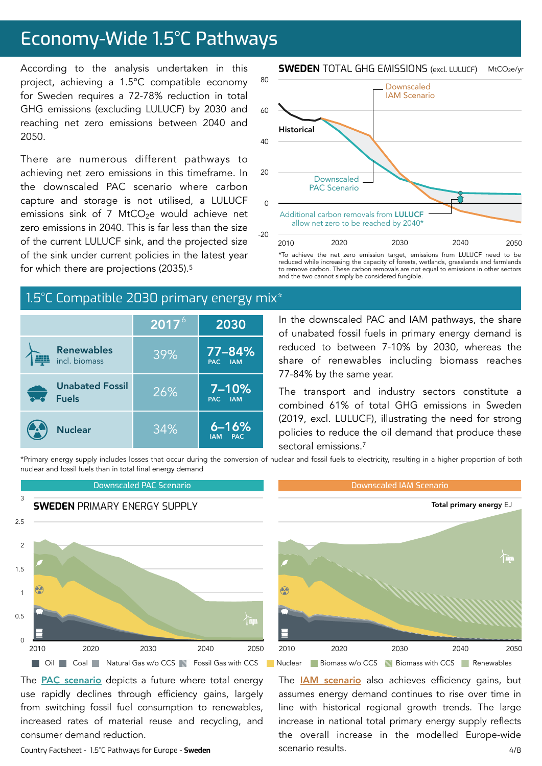# Economy-Wide 1.5°C Pathways

According to the analysis undertaken in this project, achieving a 1.5°C compatible economy for Sweden requires a 72-78% reduction in total GHG emissions (excluding LULUCF) by 2030 and reaching net zero emissions between 2040 and 2050.

There are numerous different pathways to achieving net zero emissions in this timeframe. In the downscaled PAC scenario where carbon capture and storage is not utilised, a LULUCF emissions sink of 7 MtCO $2e$  would achieve net zero emissions in 2040. This is far less than the size of the current LULUCF sink, and the projected size of the sink under current policies in the latest year for which there are projections (2035).5

### 1.5°C Compatible 2030 primary energy mix\*

|                                        | $\overline{{\mathbf 120}}$ 17 $^{\circ}$ | 2030                                  |
|----------------------------------------|------------------------------------------|---------------------------------------|
| <b>Renewables</b><br>incl. biomass     | 39%                                      | 77-84%<br>PAC IAM                     |
| <b>Unabated Fossil</b><br><b>Fuels</b> | 26%                                      | $7 - 10%$<br>PAC IAM                  |
| <b>Nuclear</b>                         | 34%                                      | $6 - 16%$<br><b>PAC</b><br><b>IAM</b> |

**SWEDEN** TOTAL GHG EMISSIONS (excl. LULUCF) MtCO2e/yr



\*To achieve the net zero emission target, emissions from LULUCF need to be reduced while increasing the capacity of forests, wetlands, grasslands and farmlands to remove carbon. These carbon removals are not equal to emissions in other sectors and the two cannot simply be considered fungible.

In the downscaled PAC and IAM pathways, the share of unabated fossil fuels in primary energy demand is reduced to between 7-10% by 2030, whereas the share of renewables including biomass reaches 77-84% by the same year.

The transport and industry sectors constitute a combined 61% of total GHG emissions in Sweden (2019, excl. LULUCF), illustrating the need for strong policies to reduce the oil demand that produce these sectoral emissions.7

\*Primary energy supply includes losses that occur during the conversion of nuclear and fossil fuels to electricity, resulting in a higher proportion of both nuclear and fossil fuels than in total final energy demand



The **PAC** scenario depicts a future where total energy use rapidly declines through efficiency gains, largely from switching fossil fuel consumption to renewables, increased rates of material reuse and recycling, and consumer demand reduction.

Country Factsheet - 1.5°C Pathways for Europe - **Sweden** 4/8

The **[IAM scenario](https://www.pik-potsdam.de/en/institute/departments/transformation-pathways/models/remind/remind16_description_2015_11_30_final#:~:text=REMIND%20is%20a%20global%20energy,inter-temporal%20welfare%20is%20maximized.&text=Macro-economic%20production%20factors%20are,,%20labor,%20and%20final%20energy.)** also achieves efficiency gains, but assumes energy demand continues to rise over time in line with historical regional growth trends. The large increase in national total primary energy supply reflects the overall increase in the modelled Europe-wide scenario results.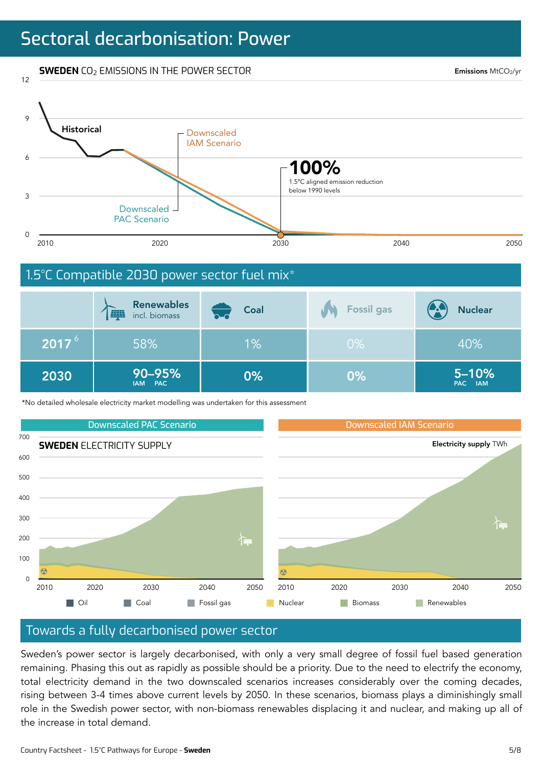# Sectoral decarbonisation: Power

**SWEDEN** CO2 EMISSIONS IN THE POWER SECTOR

12

Emissions MtCO2/yr

5–10% PAC IAM



\*No detailed wholesale electricity market modelling was undertaken for this assessment

90–95% 2030 0% IAM PAC



0%

### Towards a fully decarbonised power sector

Sweden's power sector is largely decarbonised, with only a very small degree of fossil fuel based generation remaining. Phasing this out as rapidly as possible should be a priority. Due to the need to electrify the economy, total electricity demand in the two downscaled scenarios increases considerably over the coming decades, rising between 3-4 times above current levels by 2050. In these scenarios, biomass plays a diminishingly small role in the Swedish power sector, with non-biomass renewables displacing it and nuclear, and making up all of the increase in total demand.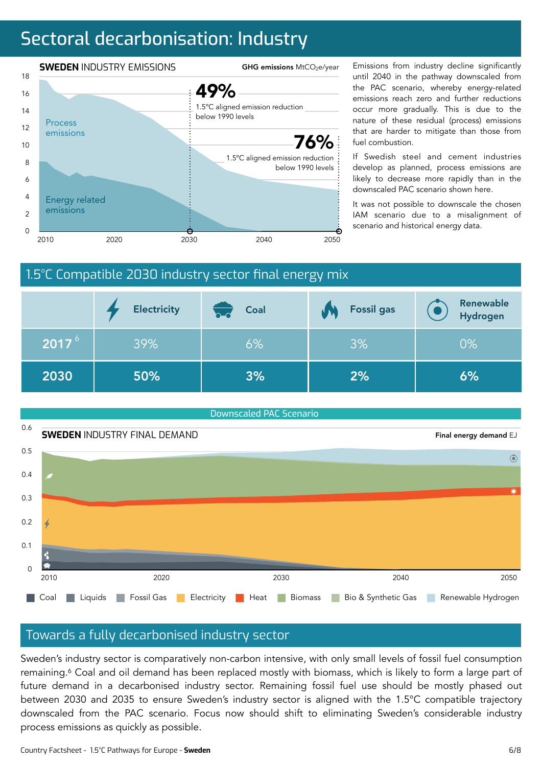# Sectoral decarbonisation: Industry



until 2040 in the pathway downscaled from the PAC scenario, whereby energy-related emissions reach zero and further reductions occur more gradually. This is due to the nature of these residual (process) emissions that are harder to mitigate than those from fuel combustion.

If Swedish steel and cement industries develop as planned, process emissions are likely to decrease more rapidly than in the downscaled PAC scenario shown here.

It was not possible to downscale the chosen IAM scenario due to a misalignment of scenario and historical energy data.

### 1.5°C Compatible 2030 industry sector final energy mix

|                   | <b>Electricity</b> | Coal<br>n-d | <b>Fossil gas</b> | Renewable<br>Hydrogen |
|-------------------|--------------------|-------------|-------------------|-----------------------|
| 2017 <sup>6</sup> | 39%                | 6%          | 3%                | $0\%$                 |
| 2030              | 50%                | 3%          | 2%                | 6%                    |

### Downscaled PAC Scenario 0.6 **SWEDEN** INDUSTRY FINAL DEMAND Final energy demand EJ 0.5  $\odot$ 0.4  $0.3$  $0.2$ 0.1  $\Omega$ 2010 2020 2030 2040 2050 2010 2050 Coal Liquids Fossil Gas Electricity Heat Biomass Bio & Synthetic Gas Renewable Hydrogen

### Towards a fully decarbonised industry sector

Sweden's industry sector is comparatively non-carbon intensive, with only small levels of fossil fuel consumption remaining.<sup>6</sup> Coal and oil demand has been replaced mostly with biomass, which is likely to form a large part of future demand in a decarbonised industry sector. Remaining fossil fuel use should be mostly phased out between 2030 and 2035 to ensure Sweden's industry sector is aligned with the 1.5°C compatible trajectory downscaled from the PAC scenario. Focus now should shift to eliminating Sweden's considerable industry process emissions as quickly as possible.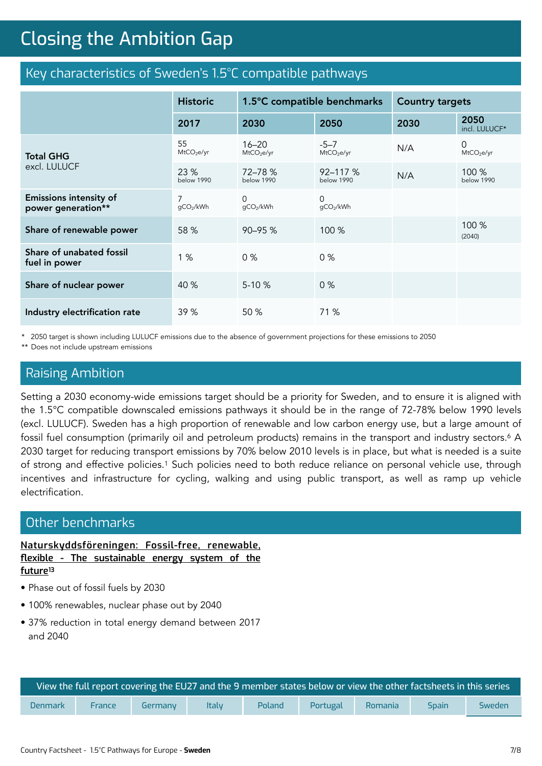# **Closing the Ambition Gap** Closing the Ambition Gap

### Key characteristics of Sweden's 1.5°C compatible pathways

|                                                     | <b>Historic</b>              | 1.5°C compatible benchmarks         |                                    | <b>Country targets</b> |                             |
|-----------------------------------------------------|------------------------------|-------------------------------------|------------------------------------|------------------------|-----------------------------|
|                                                     | 2017                         | 2030                                | 2050                               | 2030                   | 2050<br>incl. LULUCF*       |
| <b>Total GHG</b>                                    | 55<br>MtCO <sub>2</sub> e/yr | $16 - 20$<br>MtCO <sub>2</sub> e/yr | $-5 - 7$<br>MtCO <sub>2</sub> e/yr | N/A                    | 0<br>MtCO <sub>2</sub> e/yr |
| excl. LULUCF                                        | 23%<br><b>below 1990</b>     | 72-78 %<br>below 1990               | $92 - 117%$<br>below 1990          | N/A                    | 100 %<br>below 1990         |
| <b>Emissions intensity of</b><br>power generation** | $\overline{7}$<br>qCO2/kWh   | $\Omega$<br>gCO2/kWh                | $\Omega$<br>gCO2/kWh               |                        |                             |
| Share of renewable power                            | 58 %                         | 90-95 %                             | 100 %                              |                        | 100 %<br>(2040)             |
| Share of unabated fossil<br>fuel in power           | 1%                           | 0%                                  | 0%                                 |                        |                             |
| Share of nuclear power                              | 40 %                         | $5 - 10%$                           | 0%                                 |                        |                             |
| Industry electrification rate                       | 39 %                         | 50 %                                | 71 %                               |                        |                             |

\* 2050 target is shown including LULUCF emissions due to the absence of government projections for these emissions to 2050

\*\* Does not include upstream emissions

### Raising Ambition

Setting a 2030 economy-wide emissions target should be a priority for Sweden, and to ensure it is aligned with the 1.5°C compatible downscaled emissions pathways it should be in the range of 72-78% below 1990 levels (excl. LULUCF). Sweden has a high proportion of renewable and low carbon energy use, but a large amount of fossil fuel consumption (primarily oil and petroleum products) remains in the transport and industry sectors.<sup>6</sup> A 2030 target for reducing transport emissions by 70% below 2010 levels is in place, but what is needed is a suite of strong and effective policies.1 Such policies need to both reduce reliance on personal vehicle use, through incentives and infrastructure for cycling, walking and using public transport, as well as ramp up vehicle electrification.

### Other benchmarks

**[Naturskyddsföreningen: Fossil-free, renewable,](https://old.naturskyddsforeningen.se/sites/default/files/dokument-media/fossilfrittfornybartflexibelt_slutkorrad_rgb.pdf) flexible - The sustainable energy system of the [future](https://old.naturskyddsforeningen.se/sites/default/files/dokument-media/fossilfrittfornybartflexibelt_slutkorrad_rgb.pdf)13**

- Phase out of fossil fuels by 2030
- 100% renewables, nuclear phase out by 2040
- 37% reduction in total energy demand between 2017 and 2040

| ) View the full report covering the EU27 and the 9 member states below or view the other factsheets in this series $^{\dagger}$ |               |         |              |        |          |         |              |               |
|---------------------------------------------------------------------------------------------------------------------------------|---------------|---------|--------------|--------|----------|---------|--------------|---------------|
| Denmark                                                                                                                         | <b>France</b> | Germany | <b>Italy</b> | Poland | Portugal | Romania | <b>Spain</b> | <b>Sweden</b> |